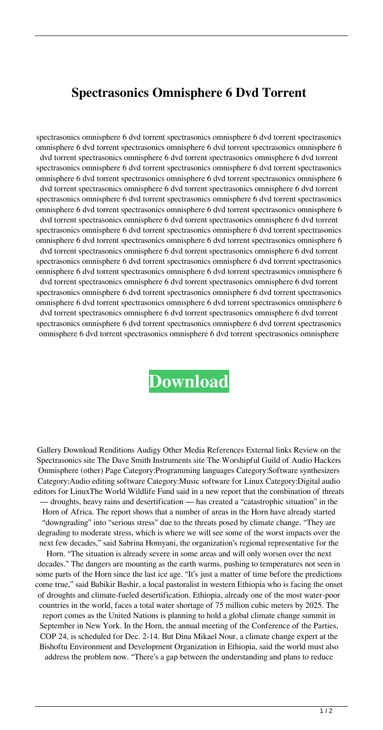## **Spectrasonics Omnisphere 6 Dvd Torrent**

spectrasonics omnisphere 6 dvd torrent spectrasonics omnisphere 6 dvd torrent spectrasonics omnisphere 6 dvd torrent spectrasonics omnisphere 6 dvd torrent spectrasonics omnisphere 6 dvd torrent spectrasonics omnisphere 6 dvd torrent spectrasonics omnisphere 6 dvd torrent spectrasonics omnisphere 6 dvd torrent spectrasonics omnisphere 6 dvd torrent spectrasonics omnisphere 6 dvd torrent spectrasonics omnisphere 6 dvd torrent spectrasonics omnisphere 6 dvd torrent spectrasonics omnisphere 6 dvd torrent spectrasonics omnisphere 6 dvd torrent spectrasonics omnisphere 6 dvd torrent spectrasonics omnisphere 6 dvd torrent spectrasonics omnisphere 6 dvd torrent spectrasonics omnisphere 6 dvd torrent spectrasonics omnisphere 6 dvd torrent spectrasonics omnisphere 6 dvd torrent spectrasonics omnisphere 6 dvd torrent spectrasonics omnisphere 6 dvd torrent spectrasonics omnisphere 6 dvd torrent spectrasonics omnisphere 6 dvd torrent spectrasonics omnisphere 6 dvd torrent spectrasonics omnisphere 6 dvd torrent spectrasonics omnisphere 6 dvd torrent spectrasonics omnisphere 6 dvd torrent spectrasonics omnisphere 6 dvd torrent spectrasonics omnisphere 6 dvd torrent spectrasonics omnisphere 6 dvd torrent spectrasonics omnisphere 6 dvd torrent spectrasonics omnisphere 6 dvd torrent spectrasonics omnisphere 6 dvd torrent spectrasonics omnisphere 6 dvd torrent spectrasonics omnisphere 6 dvd torrent spectrasonics omnisphere 6 dvd torrent spectrasonics omnisphere 6 dvd torrent spectrasonics omnisphere 6 dvd torrent spectrasonics omnisphere 6 dvd torrent spectrasonics omnisphere 6 dvd torrent spectrasonics omnisphere 6 dvd torrent spectrasonics omnisphere 6 dvd torrent spectrasonics omnisphere 6 dvd torrent spectrasonics omnisphere 6 dvd torrent spectrasonics omnisphere 6 dvd torrent spectrasonics omnisphere

## **[Download](http://evacdir.com/bryson/tryst.greenbrier.ZG93bmxvYWR8T1MzTVhjd2RYeDhNVFkxTWpjME1EZzJObng4TWpVM05IeDhLRTBwSUhKbFlXUXRZbXh2WnlCYlJtRnpkQ0JIUlU1ZA?scenes=.c3BlY3RyYXNvbmljcyBvbW5pc3BoZXJlIDYgZHZkIHRvcnJlbnQc3B)**

Gallery Download Renditions Audigy Other Media References External links Review on the Spectrasonics site The Dave Smith Instruments site The Worshipful Guild of Audio Hackers Omnisphere (other) Page Category:Programming languages Category:Software synthesizers Category:Audio editing software Category:Music software for Linux Category:Digital audio editors for LinuxThe World Wildlife Fund said in a new report that the combination of threats — droughts, heavy rains and desertification — has created a "catastrophic situation" in the Horn of Africa. The report shows that a number of areas in the Horn have already started "downgrading" into "serious stress" due to the threats posed by climate change. "They are degrading to moderate stress, which is where we will see some of the worst impacts over the next few decades," said Sabrina Homyani, the organization's regional representative for the Horn. "The situation is already severe in some areas and will only worsen over the next decades." The dangers are mounting as the earth warms, pushing to temperatures not seen in some parts of the Horn since the last ice age. "It's just a matter of time before the predictions come true," said Babikir Bashir, a local pastoralist in western Ethiopia who is facing the onset of droughts and climate-fueled desertification. Ethiopia, already one of the most water-poor countries in the world, faces a total water shortage of 75 million cubic meters by 2025. The report comes as the United Nations is planning to hold a global climate change summit in September in New York. In the Horn, the annual meeting of the Conference of the Parties, COP 24, is scheduled for Dec. 2-14. But Dina Mikael Nour, a climate change expert at the

Bishoftu Environment and Development Organization in Ethiopia, said the world must also address the problem now. "There's a gap between the understanding and plans to reduce